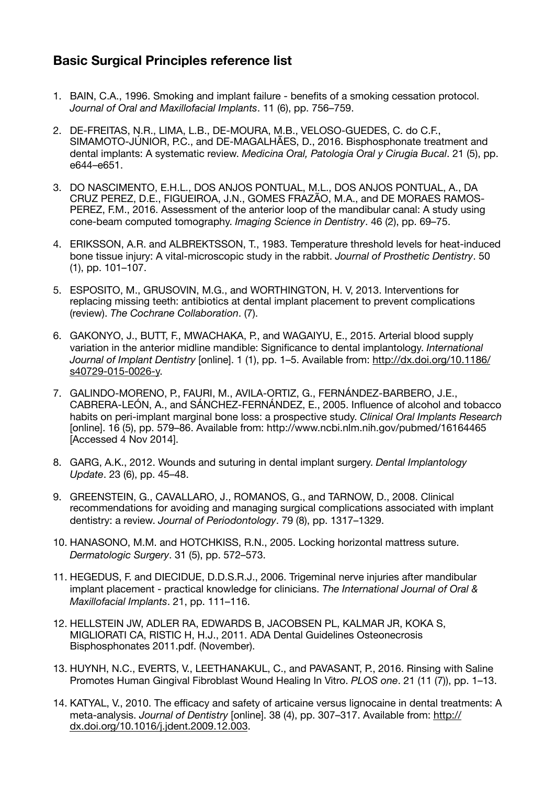## **Basic Surgical Principles reference list**

- 1. BAIN, C.A., 1996. Smoking and implant failure benefits of a smoking cessation protocol. *Journal of Oral and Maxillofacial Implants*. 11 (6), pp. 756–759.
- 2. DE-FREITAS, N.R., LIMA, L.B., DE-MOURA, M.B., VELOSO-GUEDES, C. do C.F., SIMAMOTO-JÚNIOR, P.C., and DE-MAGALHÃES, D., 2016. Bisphosphonate treatment and dental implants: A systematic review. *Medicina Oral, Patologia Oral y Cirugia Bucal*. 21 (5), pp. e644–e651.
- 3. DO NASCIMENTO, E.H.L., DOS ANJOS PONTUAL, M.L., DOS ANJOS PONTUAL, A., DA CRUZ PEREZ, D.E., FIGUEIROA, J.N., GOMES FRAZÃO, M.A., and DE MORAES RAMOS-PEREZ, F.M., 2016. Assessment of the anterior loop of the mandibular canal: A study using cone-beam computed tomography. *Imaging Science in Dentistry*. 46 (2), pp. 69–75.
- 4. ERIKSSON, A.R. and ALBREKTSSON, T., 1983. Temperature threshold levels for heat-induced bone tissue injury: A vital-microscopic study in the rabbit. *Journal of Prosthetic Dentistry*. 50 (1), pp. 101–107.
- 5. ESPOSITO, M., GRUSOVIN, M.G., and WORTHINGTON, H. V, 2013. Interventions for replacing missing teeth: antibiotics at dental implant placement to prevent complications (review). *The Cochrane Collaboration*. (7).
- 6. GAKONYO, J., BUTT, F., MWACHAKA, P., and WAGAIYU, E., 2015. Arterial blood supply variation in the anterior midline mandible: Significance to dental implantology. *International Journal of Implant Dentistry* [online]. 1 (1), pp. 1–5. Available from: [http://dx.doi.org/10.1186/](http://dx.doi.org/10.1186/s40729-015-0026-y) [s40729-015-0026-y.](http://dx.doi.org/10.1186/s40729-015-0026-y)
- 7. GALINDO-MORENO, P., FAURI, M., AVILA-ORTIZ, G., FERNÁNDEZ-BARBERO, J.E., CABRERA-LEÓN, A., and SÁNCHEZ-FERNÁNDEZ, E., 2005. Influence of alcohol and tobacco habits on peri-implant marginal bone loss: a prospective study. *Clinical Oral Implants Research* [online]. 16 (5), pp. 579–86. Available from: http://www.ncbi.nlm.nih.gov/pubmed/16164465 [Accessed 4 Nov 2014].
- 8. GARG, A.K., 2012. Wounds and suturing in dental implant surgery. *Dental Implantology Update*. 23 (6), pp. 45–48.
- 9. GREENSTEIN, G., CAVALLARO, J., ROMANOS, G., and TARNOW, D., 2008. Clinical recommendations for avoiding and managing surgical complications associated with implant dentistry: a review. *Journal of Periodontology*. 79 (8), pp. 1317–1329.
- 10. HANASONO, M.M. and HOTCHKISS, R.N., 2005. Locking horizontal mattress suture. *Dermatologic Surgery*. 31 (5), pp. 572–573.
- 11. HEGEDUS, F. and DIECIDUE, D.D.S.R.J., 2006. Trigeminal nerve injuries after mandibular implant placement - practical knowledge for clinicians. *The International Journal of Oral & Maxillofacial Implants*. 21, pp. 111–116.
- 12. HELLSTEIN JW, ADLER RA, EDWARDS B, JACOBSEN PL, KALMAR JR, KOKA S, MIGLIORATI CA, RISTIC H, H.J., 2011. ADA Dental Guidelines Osteonecrosis Bisphosphonates 2011.pdf. (November).
- 13. HUYNH, N.C., EVERTS, V., LEETHANAKUL, C., and PAVASANT, P., 2016. Rinsing with Saline Promotes Human Gingival Fibroblast Wound Healing In Vitro. *PLOS one*. 21 (11 (7)), pp. 1–13.
- 14. KATYAL, V., 2010. The efficacy and safety of articaine versus lignocaine in dental treatments: A meta-analysis. *Journal of Dentistry* [online]. 38 (4), pp. 307–317. Available from: [http://](http://dx.doi.org/10.1016/j.jdent.2009.12.003) [dx.doi.org/10.1016/j.jdent.2009.12.003.](http://dx.doi.org/10.1016/j.jdent.2009.12.003)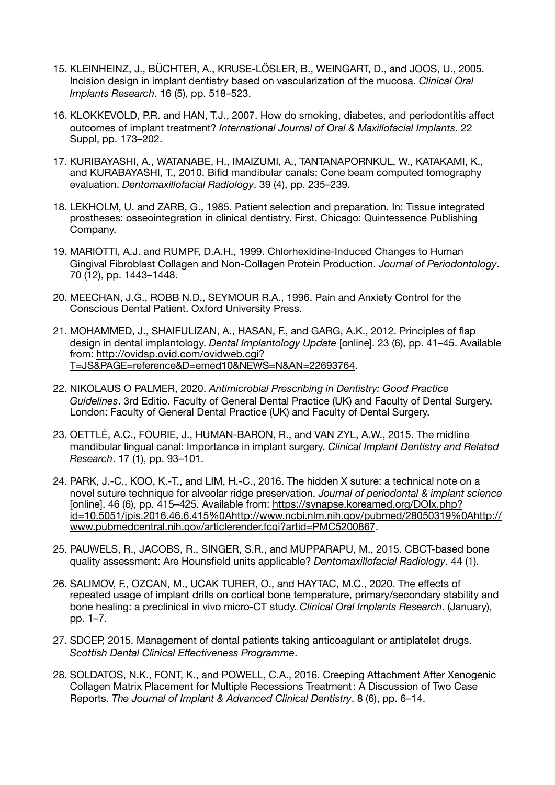- 15. KLEINHEINZ, J., BÜCHTER, A., KRUSE-LÖSLER, B., WEINGART, D., and JOOS, U., 2005. Incision design in implant dentistry based on vascularization of the mucosa. *Clinical Oral Implants Research*. 16 (5), pp. 518–523.
- 16. KLOKKEVOLD, P.R. and HAN, T.J., 2007. How do smoking, diabetes, and periodontitis affect outcomes of implant treatment? *International Journal of Oral & Maxillofacial Implants*. 22 Suppl, pp. 173–202.
- 17. KURIBAYASHI, A., WATANABE, H., IMAIZUMI, A., TANTANAPORNKUL, W., KATAKAMI, K., and KURABAYASHI, T., 2010. Bifid mandibular canals: Cone beam computed tomography evaluation. *Dentomaxillofacial Radiology*. 39 (4), pp. 235–239.
- 18. LEKHOLM, U. and ZARB, G., 1985. Patient selection and preparation. In: Tissue integrated prostheses: osseointegration in clinical dentistry. First. Chicago: Quintessence Publishing Company.
- 19. MARIOTTI, A.J. and RUMPF, D.A.H., 1999. Chlorhexidine-Induced Changes to Human Gingival Fibroblast Collagen and Non-Collagen Protein Production. *Journal of Periodontology*. 70 (12), pp. 1443–1448.
- 20. MEECHAN, J.G., ROBB N.D., SEYMOUR R.A., 1996. Pain and Anxiety Control for the Conscious Dental Patient. Oxford University Press.
- 21. MOHAMMED, J., SHAIFULIZAN, A., HASAN, F., and GARG, A.K., 2012. Principles of flap design in dental implantology. *Dental Implantology Update* [online]. 23 (6), pp. 41–45. Available from: [http://ovidsp.ovid.com/ovidweb.cgi?](http://ovidsp.ovid.com/ovidweb.cgi?T=JS&PAGE=reference&D=emed10&NEWS=N&AN=22693764) [T=JS&PAGE=reference&D=emed10&NEWS=N&AN=22693764.](http://ovidsp.ovid.com/ovidweb.cgi?T=JS&PAGE=reference&D=emed10&NEWS=N&AN=22693764)
- 22. NIKOLAUS O PALMER, 2020. *Antimicrobial Prescribing in Dentistry: Good Practice Guidelines*. 3rd Editio. Faculty of General Dental Practice (UK) and Faculty of Dental Surgery. London: Faculty of General Dental Practice (UK) and Faculty of Dental Surgery.
- 23. OETTLÉ, A.C., FOURIE, J., HUMAN-BARON, R., and VAN ZYL, A.W., 2015. The midline mandibular lingual canal: Importance in implant surgery. *Clinical Implant Dentistry and Related Research*. 17 (1), pp. 93–101.
- 24. PARK, J.-C., KOO, K.-T., and LIM, H.-C., 2016. The hidden X suture: a technical note on a novel suture technique for alveolar ridge preservation. *Journal of periodontal & implant science* [online]. 46 (6), pp. 415–425. Available from: [https://synapse.koreamed.org/DOIx.php?](https://synapse.koreamed.org/DOIx.php?id=10.5051/jpis.2016.46.6.415%0Ahttp://www.ncbi.nlm.nih.gov/pubmed/28050319%0Ahttp://www.pubmedcentral.nih.gov/articlerender.fcgi?artid=PMC5200867) [id=10.5051/jpis.2016.46.6.415%0Ahttp://www.ncbi.nlm.nih.gov/pubmed/28050319%0Ahttp://](https://synapse.koreamed.org/DOIx.php?id=10.5051/jpis.2016.46.6.415%0Ahttp://www.ncbi.nlm.nih.gov/pubmed/28050319%0Ahttp://www.pubmedcentral.nih.gov/articlerender.fcgi?artid=PMC5200867) [www.pubmedcentral.nih.gov/articlerender.fcgi?artid=PMC5200867.](https://synapse.koreamed.org/DOIx.php?id=10.5051/jpis.2016.46.6.415%0Ahttp://www.ncbi.nlm.nih.gov/pubmed/28050319%0Ahttp://www.pubmedcentral.nih.gov/articlerender.fcgi?artid=PMC5200867)
- 25. PAUWELS, R., JACOBS, R., SINGER, S.R., and MUPPARAPU, M., 2015. CBCT-based bone quality assessment: Are Hounsfield units applicable? *Dentomaxillofacial Radiology*. 44 (1).
- 26. SALIMOV, F., OZCAN, M., UCAK TURER, O., and HAYTAC, M.C., 2020. The effects of repeated usage of implant drills on cortical bone temperature, primary/secondary stability and bone healing: a preclinical in vivo micro‐CT study. *Clinical Oral Implants Research*. (January), pp. 1–7.
- 27. SDCEP, 2015. Management of dental patients taking anticoagulant or antiplatelet drugs. *Scottish Dental Clinical Effectiveness Programme*.
- 28. SOLDATOS, N.K., FONT, K., and POWELL, C.A., 2016. Creeping Attachment After Xenogenic Collagen Matrix Placement for Multiple Recessions Treatment: A Discussion of Two Case Reports. *The Journal of Implant & Advanced Clinical Dentistry*. 8 (6), pp. 6–14.